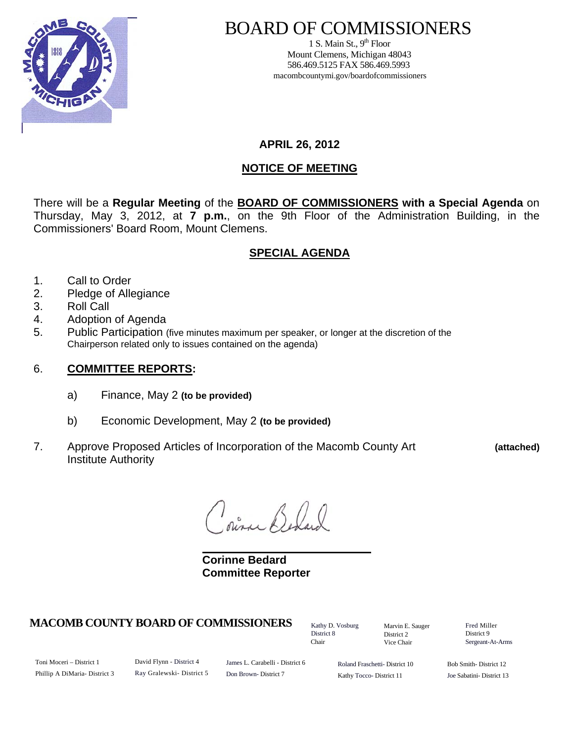

# BOARD OF COMMISSIONERS

1 S. Main St.,  $9<sup>th</sup>$  Floor Mount Clemens, Michigan 48043 586.469.5125 FAX 586.469.5993 macombcountymi.gov/boardofcommissioners

**APRIL 26, 2012** 

# **NOTICE OF MEETING**

There will be a **Regular Meeting** of the **BOARD OF COMMISSIONERS with a Special Agenda** on Thursday, May 3, 2012, at **7 p.m.**, on the 9th Floor of the Administration Building, in the Commissioners' Board Room, Mount Clemens.

# **SPECIAL AGENDA**

- 1. Call to Order
- 2. Pledge of Allegiance
- 3. Roll Call
- 4. Adoption of Agenda
- 5. Public Participation (five minutes maximum per speaker, or longer at the discretion of the Chairperson related only to issues contained on the agenda)

## 6. **COMMITTEE REPORTS:**

- a) Finance, May 2 **(to be provided)**
- b) Economic Development, May 2 **(to be provided)**
- 7. Approve Proposed Articles of Incorporation of the Macomb County Art **(attached)**  Institute Authority

pira Beland

 **Corinne Bedard Committee Reporter** 

## **MACOMB COUNTY BOARD OF COMMISSIONERS** Factor D. Vosburg Marvin F. Sauger Fred Miller

Kathy D. Vosburg District 8 Chair

Marvin E. Sauger District 2 Vice Chair

District 9 Sergeant-At-Arms

Toni Moceri – District 1 Phillip A DiMaria- District 3 David Flynn - District 4 Ray Gralewski- District 5

James L. Carabelli - District 6 Don Brown- District 7

Roland Fraschetti- District 10 Kathy Tocco- District 11

Bob Smith- District 12 Joe Sabatini- District 13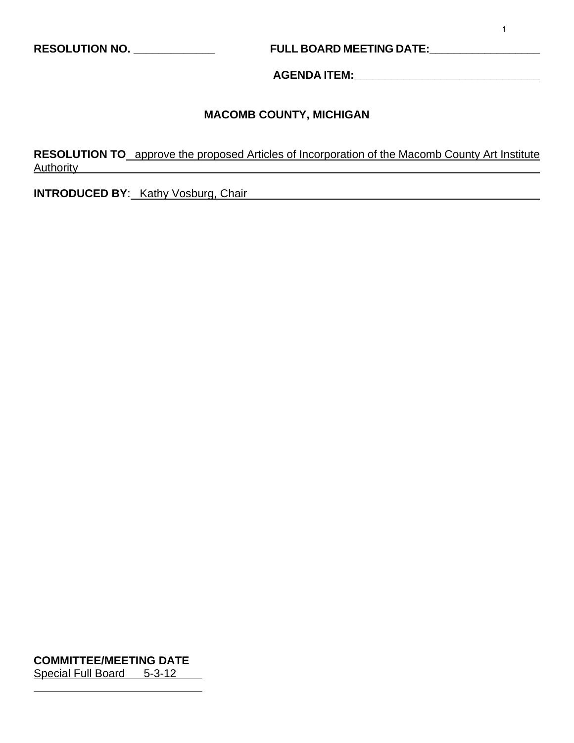**RESOLUTION NO. \_\_\_\_\_\_\_\_\_\_\_\_\_ FULL BOARD MEETING DATE:\_\_\_\_\_\_\_\_\_\_\_\_\_\_\_\_\_\_** 

**AGENDA ITEM:\_\_\_\_\_\_\_\_\_\_\_\_\_\_\_\_\_\_\_\_\_\_\_\_\_\_\_\_\_\_** 

## **MACOMB COUNTY, MICHIGAN**

**RESOLUTION TO** approve the proposed Articles of Incorporation of the Macomb County Art Institute Authority

**INTRODUCED BY:** Kathy Vosburg, Chair

**COMMITTEE/MEETING DATE** Special Full Board 5-3-12

 $\overline{a}$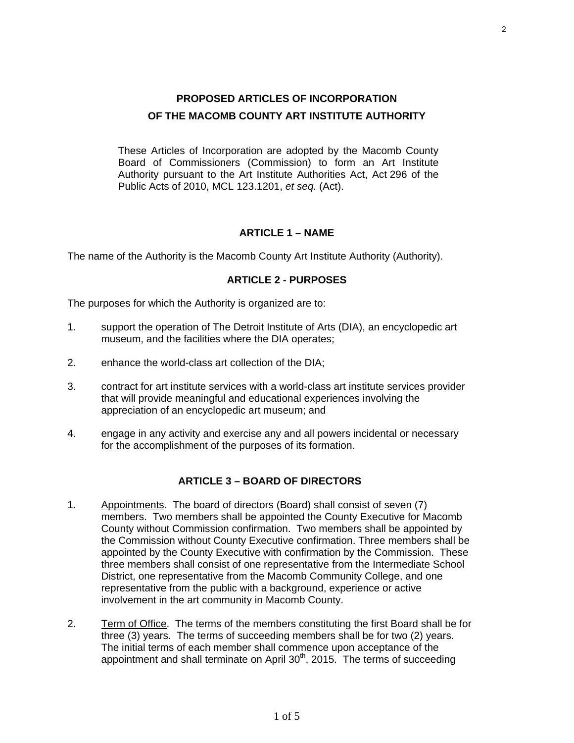These Articles of Incorporation are adopted by the Macomb County Board of Commissioners (Commission) to form an Art Institute Authority pursuant to the Art Institute Authorities Act, Act 296 of the Public Acts of 2010, MCL 123.1201, *et seq.* (Act).

#### **ARTICLE 1 – NAME**

The name of the Authority is the Macomb County Art Institute Authority (Authority).

#### **ARTICLE 2 - PURPOSES**

The purposes for which the Authority is organized are to:

- 1. support the operation of The Detroit Institute of Arts (DIA), an encyclopedic art museum, and the facilities where the DIA operates;
- 2. enhance the world-class art collection of the DIA;
- 3. contract for art institute services with a world-class art institute services provider that will provide meaningful and educational experiences involving the appreciation of an encyclopedic art museum; and
- 4. engage in any activity and exercise any and all powers incidental or necessary for the accomplishment of the purposes of its formation.

#### **ARTICLE 3 – BOARD OF DIRECTORS**

- 1. Appointments. The board of directors (Board) shall consist of seven (7) members. Two members shall be appointed the County Executive for Macomb County without Commission confirmation. Two members shall be appointed by the Commission without County Executive confirmation. Three members shall be appointed by the County Executive with confirmation by the Commission. These three members shall consist of one representative from the Intermediate School District, one representative from the Macomb Community College, and one representative from the public with a background, experience or active involvement in the art community in Macomb County.
- 2. Term of Office. The terms of the members constituting the first Board shall be for three (3) years. The terms of succeeding members shall be for two (2) years. The initial terms of each member shall commence upon acceptance of the appointment and shall terminate on April 30<sup>th</sup>, 2015. The terms of succeeding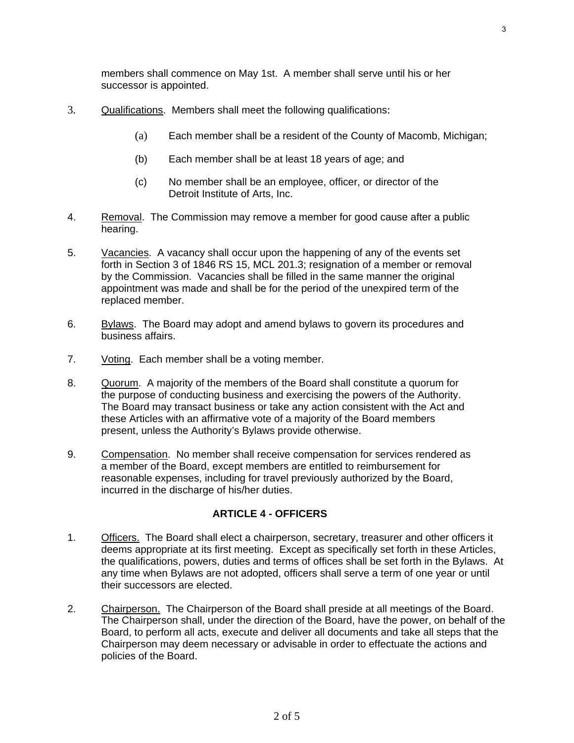members shall commence on May 1st. A member shall serve until his or her successor is appointed.

- 3. Qualifications. Members shall meet the following qualifications:
	- (a) Each member shall be a resident of the County of Macomb, Michigan;
	- (b) Each member shall be at least 18 years of age; and
	- (c) No member shall be an employee, officer, or director of the Detroit Institute of Arts, Inc.
- 4. Removal. The Commission may remove a member for good cause after a public hearing.
- 5. Vacancies. A vacancy shall occur upon the happening of any of the events set forth in Section 3 of 1846 RS 15, MCL 201.3; resignation of a member or removal by the Commission. Vacancies shall be filled in the same manner the original appointment was made and shall be for the period of the unexpired term of the replaced member.
- 6. Bylaws. The Board may adopt and amend bylaws to govern its procedures and business affairs.
- 7. Voting. Each member shall be a voting member.
- 8. Quorum. A majority of the members of the Board shall constitute a quorum for the purpose of conducting business and exercising the powers of the Authority. The Board may transact business or take any action consistent with the Act and these Articles with an affirmative vote of a majority of the Board members present, unless the Authority's Bylaws provide otherwise.
- 9. Compensation. No member shall receive compensation for services rendered as a member of the Board, except members are entitled to reimbursement for reasonable expenses, including for travel previously authorized by the Board, incurred in the discharge of his/her duties.

#### **ARTICLE 4 - OFFICERS**

- 1. Officers. The Board shall elect a chairperson, secretary, treasurer and other officers it deems appropriate at its first meeting. Except as specifically set forth in these Articles, the qualifications, powers, duties and terms of offices shall be set forth in the Bylaws. At any time when Bylaws are not adopted, officers shall serve a term of one year or until their successors are elected.
- 2. Chairperson. The Chairperson of the Board shall preside at all meetings of the Board. The Chairperson shall, under the direction of the Board, have the power, on behalf of the Board, to perform all acts, execute and deliver all documents and take all steps that the Chairperson may deem necessary or advisable in order to effectuate the actions and policies of the Board.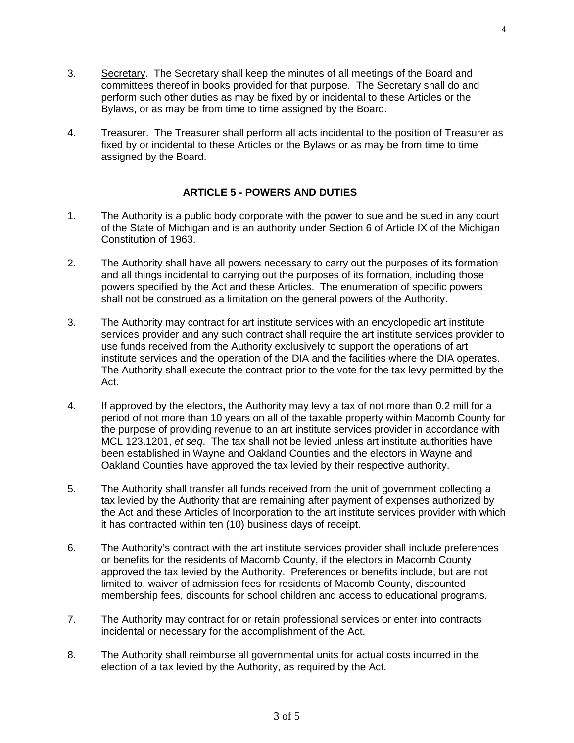- 3. Secretary. The Secretary shall keep the minutes of all meetings of the Board and committees thereof in books provided for that purpose. The Secretary shall do and perform such other duties as may be fixed by or incidental to these Articles or the Bylaws, or as may be from time to time assigned by the Board.
- 4. Treasurer. The Treasurer shall perform all acts incidental to the position of Treasurer as fixed by or incidental to these Articles or the Bylaws or as may be from time to time assigned by the Board.

### **ARTICLE 5 - POWERS AND DUTIES**

- 1. The Authority is a public body corporate with the power to sue and be sued in any court of the State of Michigan and is an authority under Section 6 of Article IX of the Michigan Constitution of 1963.
- 2. The Authority shall have all powers necessary to carry out the purposes of its formation and all things incidental to carrying out the purposes of its formation, including those powers specified by the Act and these Articles. The enumeration of specific powers shall not be construed as a limitation on the general powers of the Authority.
- 3. The Authority may contract for art institute services with an encyclopedic art institute services provider and any such contract shall require the art institute services provider to use funds received from the Authority exclusively to support the operations of art institute services and the operation of the DIA and the facilities where the DIA operates. The Authority shall execute the contract prior to the vote for the tax levy permitted by the Act.
- 4. If approved by the electors**,** the Authority may levy a tax of not more than 0.2 mill for a period of not more than 10 years on all of the taxable property within Macomb County for the purpose of providing revenue to an art institute services provider in accordance with MCL 123.1201, *et seq*. The tax shall not be levied unless art institute authorities have been established in Wayne and Oakland Counties and the electors in Wayne and Oakland Counties have approved the tax levied by their respective authority.
- 5. The Authority shall transfer all funds received from the unit of government collecting a tax levied by the Authority that are remaining after payment of expenses authorized by the Act and these Articles of Incorporation to the art institute services provider with which it has contracted within ten (10) business days of receipt.
- 6. The Authority's contract with the art institute services provider shall include preferences or benefits for the residents of Macomb County, if the electors in Macomb County approved the tax levied by the Authority. Preferences or benefits include, but are not limited to, waiver of admission fees for residents of Macomb County, discounted membership fees, discounts for school children and access to educational programs.
- 7. The Authority may contract for or retain professional services or enter into contracts incidental or necessary for the accomplishment of the Act.
- 8. The Authority shall reimburse all governmental units for actual costs incurred in the election of a tax levied by the Authority, as required by the Act.

3 of 5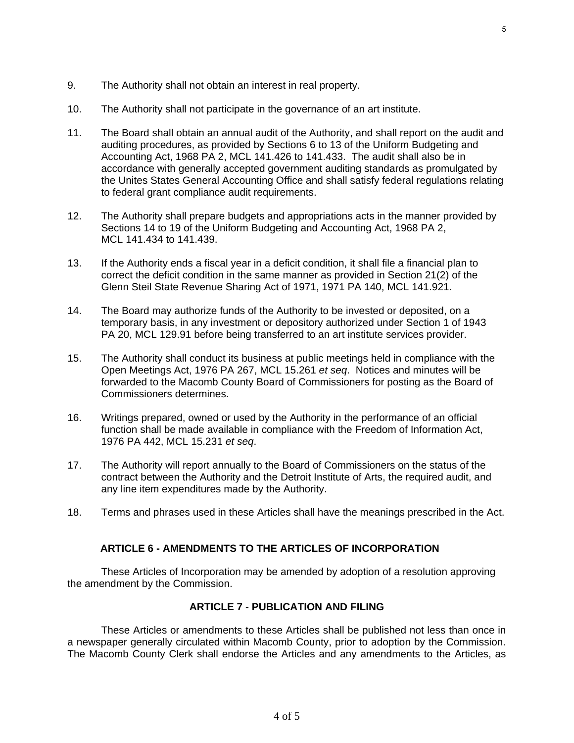5

- 9. The Authority shall not obtain an interest in real property.
- 10. The Authority shall not participate in the governance of an art institute.
- 11. The Board shall obtain an annual audit of the Authority, and shall report on the audit and auditing procedures, as provided by Sections 6 to 13 of the Uniform Budgeting and Accounting Act, 1968 PA 2, MCL 141.426 to 141.433. The audit shall also be in accordance with generally accepted government auditing standards as promulgated by the Unites States General Accounting Office and shall satisfy federal regulations relating to federal grant compliance audit requirements.
- 12. The Authority shall prepare budgets and appropriations acts in the manner provided by Sections 14 to 19 of the Uniform Budgeting and Accounting Act, 1968 PA 2, MCL 141.434 to 141.439.
- 13. If the Authority ends a fiscal year in a deficit condition, it shall file a financial plan to correct the deficit condition in the same manner as provided in Section 21(2) of the Glenn Steil State Revenue Sharing Act of 1971, 1971 PA 140, MCL 141.921.
- 14. The Board may authorize funds of the Authority to be invested or deposited, on a temporary basis, in any investment or depository authorized under Section 1 of 1943 PA 20, MCL 129.91 before being transferred to an art institute services provider.
- 15. The Authority shall conduct its business at public meetings held in compliance with the Open Meetings Act, 1976 PA 267, MCL 15.261 *et seq*. Notices and minutes will be forwarded to the Macomb County Board of Commissioners for posting as the Board of Commissioners determines.
- 16. Writings prepared, owned or used by the Authority in the performance of an official function shall be made available in compliance with the Freedom of Information Act, 1976 PA 442, MCL 15.231 *et seq*.
- 17. The Authority will report annually to the Board of Commissioners on the status of the contract between the Authority and the Detroit Institute of Arts, the required audit, and any line item expenditures made by the Authority.
- 18. Terms and phrases used in these Articles shall have the meanings prescribed in the Act.

## **ARTICLE 6 - AMENDMENTS TO THE ARTICLES OF INCORPORATION**

These Articles of Incorporation may be amended by adoption of a resolution approving the amendment by the Commission.

## 0B**ARTICLE 7 - PUBLICATION AND FILING**

These Articles or amendments to these Articles shall be published not less than once in a newspaper generally circulated within Macomb County, prior to adoption by the Commission. The Macomb County Clerk shall endorse the Articles and any amendments to the Articles, as